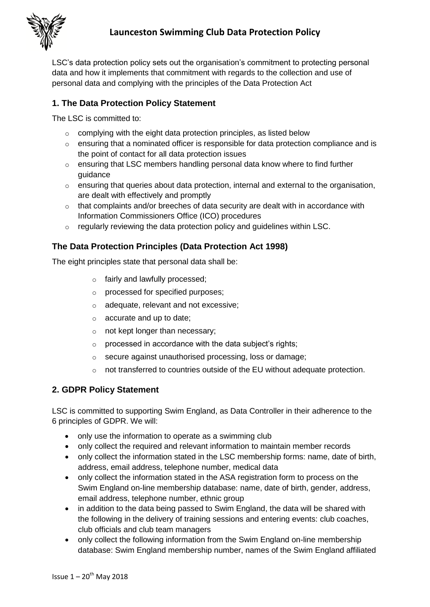

LSC's data protection policy sets out the organisation's commitment to protecting personal data and how it implements that commitment with regards to the collection and use of personal data and complying with the principles of the Data Protection Act

## **1. The Data Protection Policy Statement**

The LSC is committed to:

- $\circ$  complying with the eight data protection principles, as listed below
- $\circ$  ensuring that a nominated officer is responsible for data protection compliance and is the point of contact for all data protection issues
- o ensuring that LSC members handling personal data know where to find further guidance
- o ensuring that queries about data protection, internal and external to the organisation, are dealt with effectively and promptly
- $\circ$  that complaints and/or breeches of data security are dealt with in accordance with Information Commissioners Office (ICO) procedures
- $\circ$  regularly reviewing the data protection policy and guidelines within LSC.

## **The Data Protection Principles (Data Protection Act 1998)**

The eight principles state that personal data shall be:

- o fairly and lawfully processed;
- o processed for specified purposes;
- o adequate, relevant and not excessive;
- o accurate and up to date;
- o not kept longer than necessary;
- $\circ$  processed in accordance with the data subject's rights;
- o secure against unauthorised processing, loss or damage;
- not transferred to countries outside of the EU without adequate protection.

### **2. GDPR Policy Statement**

LSC is committed to supporting Swim England, as Data Controller in their adherence to the 6 principles of GDPR. We will:

- only use the information to operate as a swimming club
- only collect the required and relevant information to maintain member records
- only collect the information stated in the LSC membership forms: name, date of birth, address, email address, telephone number, medical data
- only collect the information stated in the ASA registration form to process on the Swim England on-line membership database: name, date of birth, gender, address, email address, telephone number, ethnic group
- in addition to the data being passed to Swim England, the data will be shared with the following in the delivery of training sessions and entering events: club coaches, club officials and club team managers
- only collect the following information from the Swim England on-line membership database: Swim England membership number, names of the Swim England affiliated